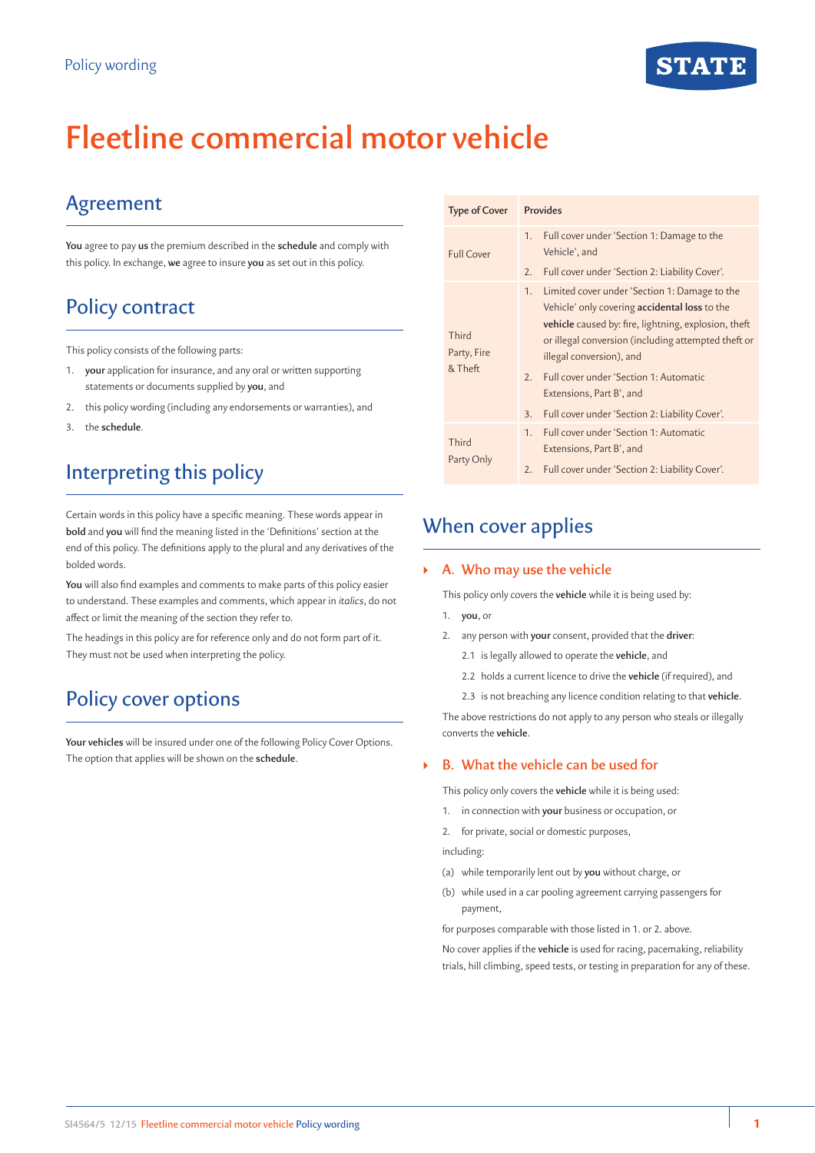# **Fleetline commercial motor vehicle**

## Agreement

**You** agree to pay **us** the premium described in the **schedule** and comply with this policy. In exchange, **we** agree to insure **you** as set out in this policy.

## Policy contract

This policy consists of the following parts:

- 1. **your** application for insurance, and any oral or written supporting statements or documents supplied by **you**, and
- 2. this policy wording (including any endorsements or warranties), and
- 3. the **schedule**.

## Interpreting this policy

Certain words in this policy have a specific meaning. These words appear in **bold** and **you** will find the meaning listed in the 'Definitions' section at the end of this policy. The definitions apply to the plural and any derivatives of the bolded words.

**You** will also find examples and comments to make parts of this policy easier to understand. These examples and comments, which appear in *italics*, do not affect or limit the meaning of the section they refer to.

The headings in this policy are for reference only and do not form part of it. They must not be used when interpreting the policy.

## Policy cover options

**Your vehicles** will be insured under one of the following Policy Cover Options. The option that applies will be shown on the **schedule**.

| <b>Type of Cover</b>            | Provides                                                                                                                                                                                                                                                                                                                                                                                   |  |
|---------------------------------|--------------------------------------------------------------------------------------------------------------------------------------------------------------------------------------------------------------------------------------------------------------------------------------------------------------------------------------------------------------------------------------------|--|
| <b>Full Cover</b>               | Full cover under 'Section 1: Damage to the<br>1.<br>Vehicle', and<br>Full cover under 'Section 2: Liability Cover'.<br>2.                                                                                                                                                                                                                                                                  |  |
| Third<br>Party, Fire<br>& Theft | 1.<br>Limited cover under 'Section 1: Damage to the<br>Vehicle' only covering <b>accidental loss</b> to the<br>vehicle caused by: fire, lightning, explosion, theft<br>or illegal conversion (including attempted theft or<br>illegal conversion), and<br>Full cover under 'Section 1: Automatic<br>2.<br>Extensions, Part B', and<br>Full cover under 'Section 2: Liability Cover'.<br>3. |  |
| Third<br>Party Only             | Full cover under 'Section 1: Automatic<br>1.<br>Extensions, Part B', and<br>Full cover under 'Section 2: Liability Cover'.<br>2.                                                                                                                                                                                                                                                           |  |

## When cover applies

## ` **A. Who may use the vehicle**

This policy only covers the **vehicle** while it is being used by:

- 1. **you**, or
- 2. any person with **your** consent, provided that the **driver**:
	- 2.1 is legally allowed to operate the **vehicle**, and
	- 2.2 holds a current licence to drive the **vehicle** (if required), and
	- 2.3 is not breaching any licence condition relating to that **vehicle**.

The above restrictions do not apply to any person who steals or illegally converts the **vehicle**.

## ` **B. What the vehicle can be used for**

This policy only covers the **vehicle** while it is being used:

- 1. in connection with **your** business or occupation, or
- 2. for private, social or domestic purposes,

including:

- (a) while temporarily lent out by **you** without charge, or
- (b) while used in a car pooling agreement carrying passengers for payment,

for purposes comparable with those listed in 1. or 2. above.

No cover applies if the **vehicle** is used for racing, pacemaking, reliability trials, hill climbing, speed tests, or testing in preparation for any of these.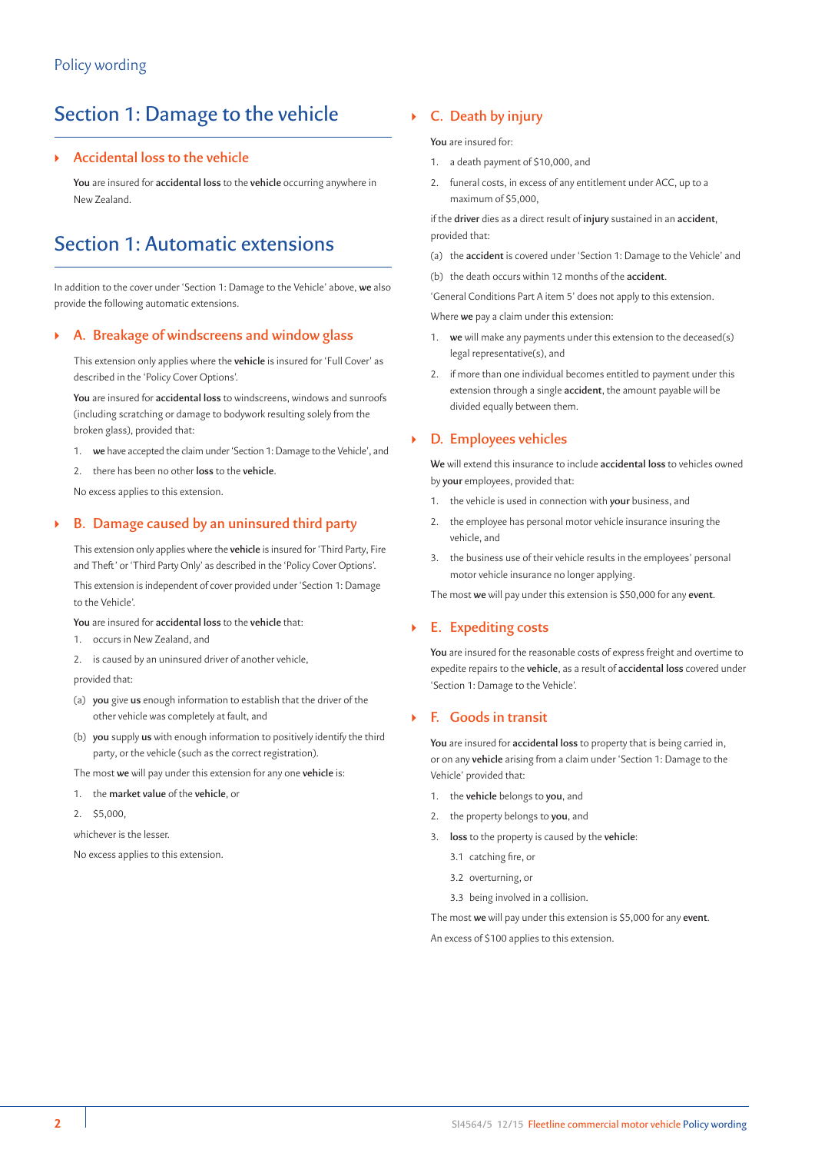## Section 1: Damage to the vehicle

## ` **Accidental loss to the vehicle**

**You** are insured for **accidental loss** to the **vehicle** occurring anywhere in New Zealand.

## Section 1: Automatic extensions

In addition to the cover under 'Section 1: Damage to the Vehicle' above, **we** also provide the following automatic extensions.

## ` **A. Breakage of windscreens and window glass**

This extension only applies where the **vehicle** is insured for 'Full Cover' as described in the 'Policy Cover Options'.

**You** are insured for **accidental loss** to windscreens, windows and sunroofs (including scratching or damage to bodywork resulting solely from the broken glass), provided that:

- 1. **we** have accepted the claim under 'Section 1: Damage to the Vehicle', and
- 2. there has been no other **loss** to the **vehicle**.

No excess applies to this extension.

## ` **B. Damage caused by an uninsured third party**

This extension only applies where the **vehicle** is insured for 'Third Party, Fire and Theft' or 'Third Party Only' as described in the 'Policy Cover Options'.

This extension is independent of cover provided under 'Section 1: Damage to the Vehicle'.

**You** are insured for **accidental loss** to the **vehicle** that:

- 1. occurs in New Zealand, and
- 2. is caused by an uninsured driver of another vehicle,

provided that:

- (a) **you** give **us** enough information to establish that the driver of the other vehicle was completely at fault, and
- (b) **you** supply **us** with enough information to positively identify the third party, or the vehicle (such as the correct registration).

The most **we** will pay under this extension for any one **vehicle** is:

- 1. the **market value** of the **vehicle**, or
- 2. \$5,000,

whichever is the lesser.

No excess applies to this extension.

## ` **C. Death by injury**

**You** are insured for:

- 1. a death payment of \$10,000, and
- 2. funeral costs, in excess of any entitlement under ACC, up to a maximum of \$5,000,

if the **driver** dies as a direct result of **injury** sustained in an **accident**, provided that:

- (a) the **accident** is covered under 'Section 1: Damage to the Vehicle' and
- (b) the death occurs within 12 months of the **accident**.

'General Conditions Part A item 5' does not apply to this extension.

Where **we** pay a claim under this extension:

- 1. **we** will make any payments under this extension to the deceased(s) legal representative(s), and
- 2. if more than one individual becomes entitled to payment under this extension through a single **accident**, the amount payable will be divided equally between them.

## ` **D. Employees vehicles**

**We** will extend this insurance to include **accidental loss** to vehicles owned by **your** employees, provided that:

- 1. the vehicle is used in connection with **your** business, and
- 2. the employee has personal motor vehicle insurance insuring the vehicle, and
- 3. the business use of their vehicle results in the employees' personal motor vehicle insurance no longer applying.

The most **we** will pay under this extension is \$50,000 for any **event**.

### ` **E. Expediting costs**

**You** are insured for the reasonable costs of express freight and overtime to expedite repairs to the **vehicle**, as a result of **accidental loss** covered under 'Section 1: Damage to the Vehicle'.

## ` **F. Goods in transit**

**You** are insured for **accidental loss** to property that is being carried in, or on any **vehicle** arising from a claim under 'Section 1: Damage to the Vehicle' provided that:

- 1. the **vehicle** belongs to **you**, and
- 2. the property belongs to **you**, and
- 3. **loss** to the property is caused by the **vehicle**:
	- 3.1 catching fire, or
	- 3.2 overturning, or
	- 3.3 being involved in a collision.

The most **we** will pay under this extension is \$5,000 for any **event**.

An excess of \$100 applies to this extension.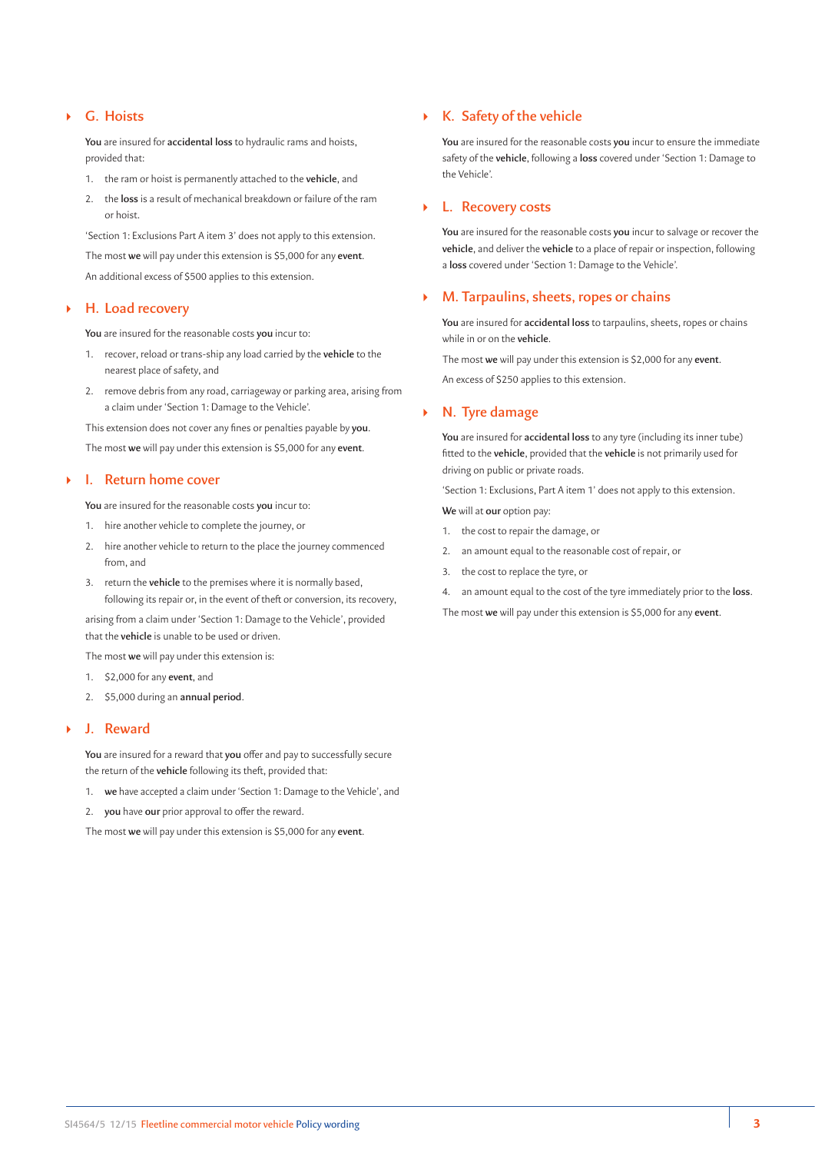## ` **G. Hoists**

**You** are insured for **accidental loss** to hydraulic rams and hoists, provided that:

- 1. the ram or hoist is permanently attached to the **vehicle**, and
- 2. the **loss** is a result of mechanical breakdown or failure of the ram or hoist.

'Section 1: Exclusions Part A item 3' does not apply to this extension. The most **we** will pay under this extension is \$5,000 for any **event**. An additional excess of \$500 applies to this extension.

### ` **H. Load recovery**

**You** are insured for the reasonable costs **you** incur to:

- 1. recover, reload or trans-ship any load carried by the **vehicle** to the nearest place of safety, and
- 2. remove debris from any road, carriageway or parking area, arising from a claim under 'Section 1: Damage to the Vehicle'.

This extension does not cover any fines or penalties payable by **you**. The most **we** will pay under this extension is \$5,000 for any **event**.

#### ` **I. Return home cover**

**You** are insured for the reasonable costs **you** incur to:

- 1. hire another vehicle to complete the journey, or
- 2. hire another vehicle to return to the place the journey commenced from, and
- 3. return the **vehicle** to the premises where it is normally based, following its repair or, in the event of theft or conversion, its recovery,

arising from a claim under 'Section 1: Damage to the Vehicle', provided that the **vehicle** is unable to be used or driven.

The most **we** will pay under this extension is:

- 1. \$2,000 for any **event**, and
- 2. \$5,000 during an **annual period**.

#### ` **J. Reward**

**You** are insured for a reward that **you** offer and pay to successfully secure the return of the **vehicle** following its theft, provided that:

- 1. **we** have accepted a claim under 'Section 1: Damage to the Vehicle', and
- 2. **you** have **our** prior approval to offer the reward.

The most **we** will pay under this extension is \$5,000 for any **event**.

## ` **K. Safety of the vehicle**

**You** are insured for the reasonable costs **you** incur to ensure the immediate safety of the **vehicle**, following a **loss** covered under 'Section 1: Damage to the Vehicle'.

### ` **L. Recovery costs**

**You** are insured for the reasonable costs **you** incur to salvage or recover the **vehicle**, and deliver the **vehicle** to a place of repair or inspection, following a **loss** covered under 'Section 1: Damage to the Vehicle'.

### ` **M. Tarpaulins, sheets, ropes or chains**

**You** are insured for **accidental loss** to tarpaulins, sheets, ropes or chains while in or on the **vehicle**.

The most **we** will pay under this extension is \$2,000 for any **event**. An excess of \$250 applies to this extension.

#### ` **N. Tyre damage**

**You** are insured for **accidental loss** to any tyre (including its inner tube) fitted to the **vehicle**, provided that the **vehicle** is not primarily used for driving on public or private roads.

'Section 1: Exclusions, Part A item 1' does not apply to this extension.

**We** will at **our** option pay:

- 1. the cost to repair the damage, or
- 2. an amount equal to the reasonable cost of repair, or
- 3. the cost to replace the tyre, or
- 4. an amount equal to the cost of the tyre immediately prior to the **loss**.

The most **we** will pay under this extension is \$5,000 for any **event**.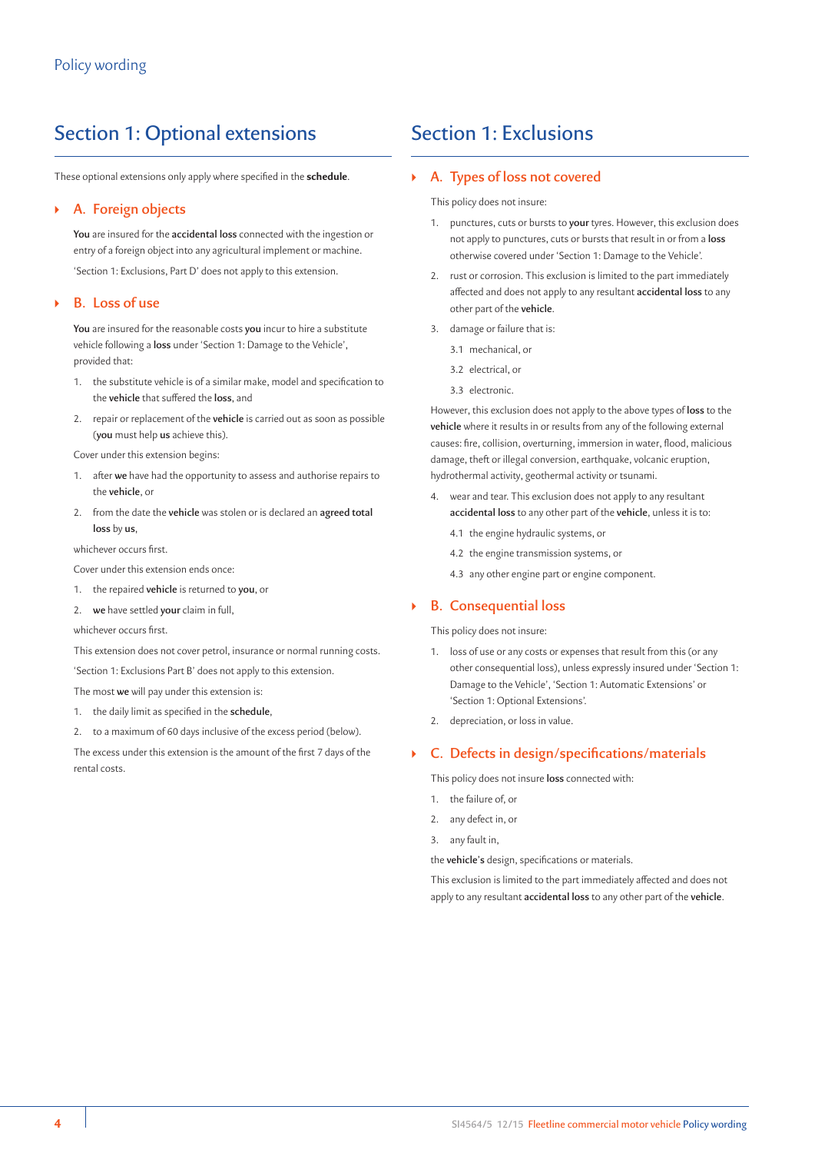## Section 1: Optional extensions

These optional extensions only apply where specified in the **schedule**.

### ` **A. Foreign objects**

**You** are insured for the **accidental loss** connected with the ingestion or entry of a foreign object into any agricultural implement or machine. 'Section 1: Exclusions, Part D' does not apply to this extension.

#### ` **B. Loss of use**

**You** are insured for the reasonable costs **you** incur to hire a substitute vehicle following a **loss** under 'Section 1: Damage to the Vehicle', provided that:

- 1. the substitute vehicle is of a similar make, model and specification to the **vehicle** that suffered the **loss**, and
- 2. repair or replacement of the **vehicle** is carried out as soon as possible (**you** must help **us** achieve this).

Cover under this extension begins:

- 1. after **we** have had the opportunity to assess and authorise repairs to the **vehicle**, or
- 2. from the date the **vehicle** was stolen or is declared an **agreed total loss** by **us**,

whichever occurs first.

Cover under this extension ends once:

- 1. the repaired **vehicle** is returned to **you**, or
- 2. **we** have settled **your** claim in full,

whichever occurs first.

This extension does not cover petrol, insurance or normal running costs.

'Section 1: Exclusions Part B' does not apply to this extension.

The most **we** will pay under this extension is:

- 1. the daily limit as specified in the **schedule**,
- 2. to a maximum of 60 days inclusive of the excess period (below).

The excess under this extension is the amount of the first 7 days of the rental costs.

## Section 1: Exclusions

#### ` **A. Types of loss not covered**

This policy does not insure:

- 1. punctures, cuts or bursts to **your** tyres. However, this exclusion does not apply to punctures, cuts or bursts that result in or from a **loss** otherwise covered under 'Section 1: Damage to the Vehicle'.
- 2. rust or corrosion. This exclusion is limited to the part immediately affected and does not apply to any resultant **accidental loss** to any other part of the **vehicle**.
- 3. damage or failure that is:
	- 3.1 mechanical, or
	- 3.2 electrical, or
	- 3.3 electronic.

However, this exclusion does not apply to the above types of **loss** to the **vehicle** where it results in or results from any of the following external causes: fire, collision, overturning, immersion in water, flood, malicious damage, theft or illegal conversion, earthquake, volcanic eruption, hydrothermal activity, geothermal activity or tsunami.

- 4. wear and tear. This exclusion does not apply to any resultant **accidental loss** to any other part of the **vehicle**, unless it is to:
	- 4.1 the engine hydraulic systems, or
	- 4.2 the engine transmission systems, or
	- 4.3 any other engine part or engine component.

### ` **B. Consequential loss**

This policy does not insure:

- 1. loss of use or any costs or expenses that result from this (or any other consequential loss), unless expressly insured under 'Section 1: Damage to the Vehicle', 'Section 1: Automatic Extensions' or 'Section 1: Optional Extensions'.
- 2. depreciation, or loss in value.

#### ` **C. Defects in design/specifications/materials**

This policy does not insure **loss** connected with:

- the failure of, or
- 2. any defect in, or
- 3. any fault in,

the **vehicle's** design, specifications or materials.

This exclusion is limited to the part immediately affected and does not apply to any resultant **accidental loss** to any other part of the **vehicle**.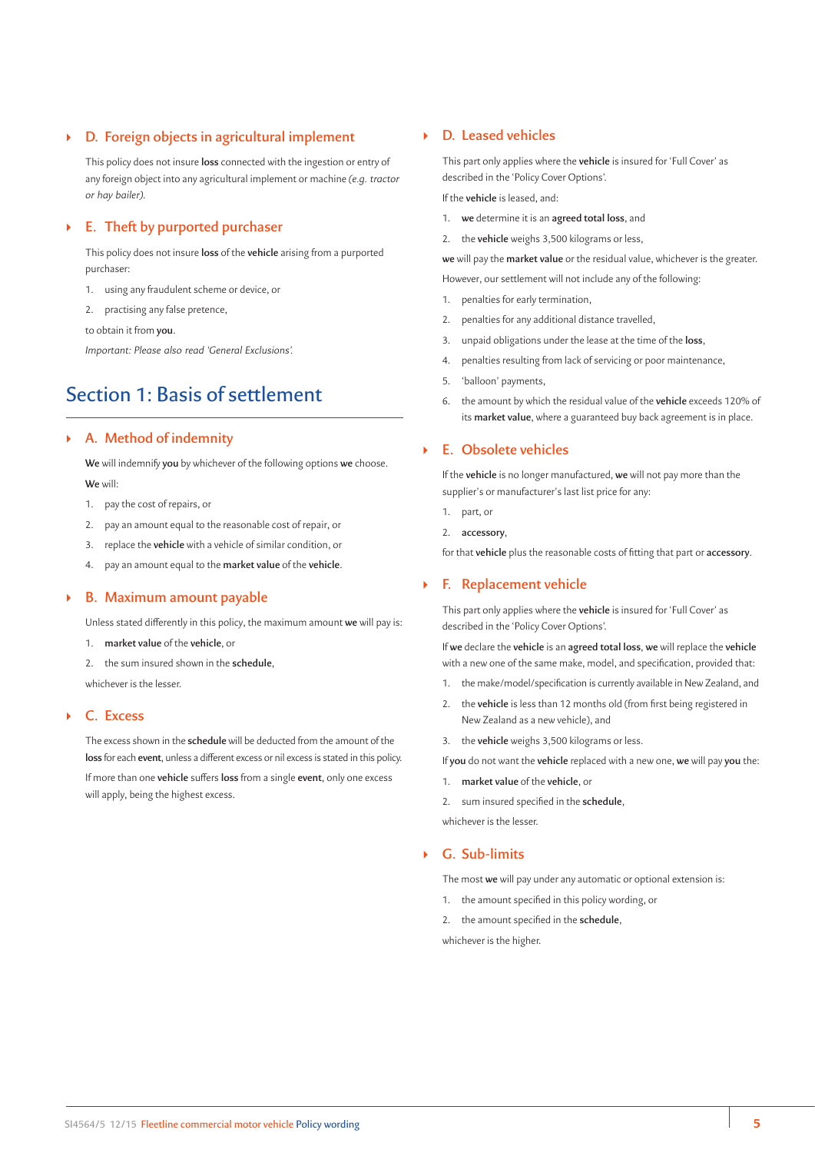## ` **D. Foreign objects in agricultural implement**

This policy does not insure **loss** connected with the ingestion or entry of any foreign object into any agricultural implement or machine *(e.g. tractor or hay bailer)*.

## ` **E. Theft by purported purchaser**

This policy does not insure **loss** of the **vehicle** arising from a purported purchaser:

- 1. using any fraudulent scheme or device, or
- 2. practising any false pretence,

to obtain it from **you**.

*Important: Please also read 'General Exclusions'.*

## Section 1: Basis of settlement

## ` **A. Method of indemnity**

**We** will indemnify **you** by whichever of the following options **we** choose. **We** will:

- 1. pay the cost of repairs, or
- 2. pay an amount equal to the reasonable cost of repair, or
- 3. replace the **vehicle** with a vehicle of similar condition, or
- 4. pay an amount equal to the **market value** of the **vehicle**.

#### ` **B. Maximum amount payable**

Unless stated differently in this policy, the maximum amount **we** will pay is:

1. **market value** of the **vehicle**, or

2. the sum insured shown in the **schedule**, whichever is the lesser.

## ` **C. Excess**

The excess shown in the **schedule** will be deducted from the amount of the **loss** for each **event**, unless a different excess or nil excess is stated in this policy. If more than one **vehicle** suffers **loss** from a single **event**, only one excess will apply, being the highest excess.

## ` **D. Leased vehicles**

This part only applies where the **vehicle** is insured for 'Full Cover' as described in the 'Policy Cover Options'.

If the **vehicle** is leased, and:

- 1. **we** determine it is an **agreed total loss**, and
- 2. the **vehicle** weighs 3,500 kilograms or less,

**we** will pay the **market value** or the residual value, whichever is the greater. However, our settlement will not include any of the following:

- 1. penalties for early termination,
- 2. penalties for any additional distance travelled,
- 3. unpaid obligations under the lease at the time of the **loss**,
- 4. penalties resulting from lack of servicing or poor maintenance,
- 5. 'balloon' payments,
- 6. the amount by which the residual value of the **vehicle** exceeds 120% of its **market value**, where a guaranteed buy back agreement is in place.

### ` **E. Obsolete vehicles**

If the **vehicle** is no longer manufactured, **we** will not pay more than the supplier's or manufacturer's last list price for any:

- 1. part, or
- 2. **accessory**,

for that **vehicle** plus the reasonable costs of fitting that part or **accessory**.

## ` **F. Replacement vehicle**

This part only applies where the **vehicle** is insured for 'Full Cover' as described in the 'Policy Cover Options'.

If **we** declare the **vehicle** is an **agreed total loss**, **we** will replace the **vehicle** with a new one of the same make, model, and specification, provided that:

- 1. the make/model/specification is currently available in New Zealand, and
- 2. the **vehicle** is less than 12 months old (from first being registered in New Zealand as a new vehicle), and
- 3. the **vehicle** weighs 3,500 kilograms or less.

If **you** do not want the **vehicle** replaced with a new one, **we** will pay **you** the:

- 1. **market value** of the **vehicle**, or
- 2. sum insured specified in the **schedule**,

whichever is the lesser.

#### ` **G. Sub-limits**

The most **we** will pay under any automatic or optional extension is:

- 1. the amount specified in this policy wording, or
- 2. the amount specified in the **schedule**,

whichever is the higher.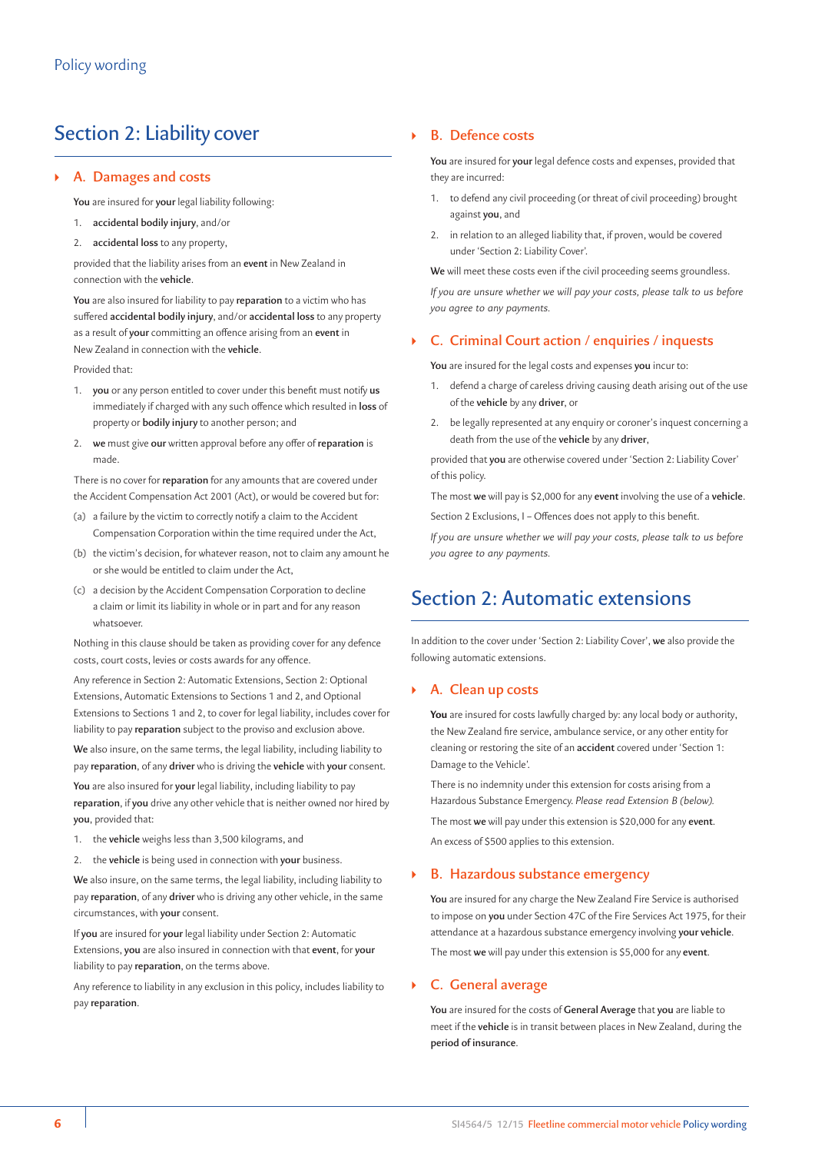## Section 2: Liability cover

## ` **A. Damages and costs**

**You** are insured for **your** legal liability following:

- 1. **accidental bodily injury**, and/or
- 2. **accidental loss** to any property,

provided that the liability arises from an **event** in New Zealand in connection with the **vehicle**.

**You** are also insured for liability to pay **reparation** to a victim who has suffered **accidental bodily injury**, and/or **accidental loss** to any property as a result of **your** committing an offence arising from an **event** in New Zealand in connection with the **vehicle**.

Provided that:

- 1. **you** or any person entitled to cover under this benefit must notify **us** immediately if charged with any such offence which resulted in **loss** of property or **bodily injury** to another person; and
- 2. **we** must give **our** written approval before any offer of **reparation** is made.

There is no cover for **reparation** for any amounts that are covered under the Accident Compensation Act 2001 (Act), or would be covered but for:

- (a) a failure by the victim to correctly notify a claim to the Accident Compensation Corporation within the time required under the Act,
- (b) the victim's decision, for whatever reason, not to claim any amount he or she would be entitled to claim under the Act,
- (c) a decision by the Accident Compensation Corporation to decline a claim or limit its liability in whole or in part and for any reason whatsoever.

Nothing in this clause should be taken as providing cover for any defence costs, court costs, levies or costs awards for any offence.

Any reference in Section 2: Automatic Extensions, Section 2: Optional Extensions, Automatic Extensions to Sections 1 and 2, and Optional Extensions to Sections 1 and 2, to cover for legal liability, includes cover for liability to pay **reparation** subject to the proviso and exclusion above.

**We** also insure, on the same terms, the legal liability, including liability to pay **reparation**, of any **driver** who is driving the **vehicle** with **your** consent. **You** are also insured for **your** legal liability, including liability to pay **reparation**, if **you** drive any other vehicle that is neither owned nor hired by **you**, provided that:

- 1. the **vehicle** weighs less than 3,500 kilograms, and
- 2. the **vehicle** is being used in connection with **your** business.

**We** also insure, on the same terms, the legal liability, including liability to pay **reparation**, of any **driver** who is driving any other vehicle, in the same circumstances, with **your** consent.

If **you** are insured for **your** legal liability under Section 2: Automatic Extensions, **you** are also insured in connection with that **event**, for **your** liability to pay **reparation**, on the terms above.

Any reference to liability in any exclusion in this policy, includes liability to pay **reparation**.

### ` **B. Defence costs**

**You** are insured for **your** legal defence costs and expenses, provided that they are incurred:

- 1. to defend any civil proceeding (or threat of civil proceeding) brought against **you**, and
- in relation to an alleged liability that, if proven, would be covered under 'Section 2: Liability Cover'.

**We** will meet these costs even if the civil proceeding seems groundless.

*If you are unsure whether we will pay your costs, please talk to us before you agree to any payments.*

## ` **C. Criminal Court action / enquiries / inquests**

**You** are insured for the legal costs and expenses **you** incur to:

- 1. defend a charge of careless driving causing death arising out of the use of the **vehicle** by any **driver**, or
- 2. be legally represented at any enquiry or coroner's inquest concerning a death from the use of the **vehicle** by any **driver**,

provided that **you** are otherwise covered under 'Section 2: Liability Cover' of this policy.

The most **we** will pay is \$2,000 for any **event** involving the use of a **vehicle**.

Section 2 Exclusions, I – Offences does not apply to this benefit.

*If you are unsure whether we will pay your costs, please talk to us before you agree to any payments.*

## Section 2: Automatic extensions

In addition to the cover under 'Section 2: Liability Cover', **we** also provide the following automatic extensions.

#### ` **A. Clean up costs**

**You** are insured for costs lawfully charged by: any local body or authority, the New Zealand fire service, ambulance service, or any other entity for cleaning or restoring the site of an **accident** covered under 'Section 1: Damage to the Vehicle'.

There is no indemnity under this extension for costs arising from a Hazardous Substance Emergency. *Please read Extension B (below).*

The most **we** will pay under this extension is \$20,000 for any **event**. An excess of \$500 applies to this extension.

#### ` **B. Hazardous substance emergency**

**You** are insured for any charge the New Zealand Fire Service is authorised to impose on **you** under Section 47C of the Fire Services Act 1975, for their attendance at a hazardous substance emergency involving **your vehicle**. The most **we** will pay under this extension is \$5,000 for any **event**.

#### ` **C. General average**

**You** are insured for the costs of **General Average** that **you** are liable to meet if the **vehicle** is in transit between places in New Zealand, during the **period of insurance**.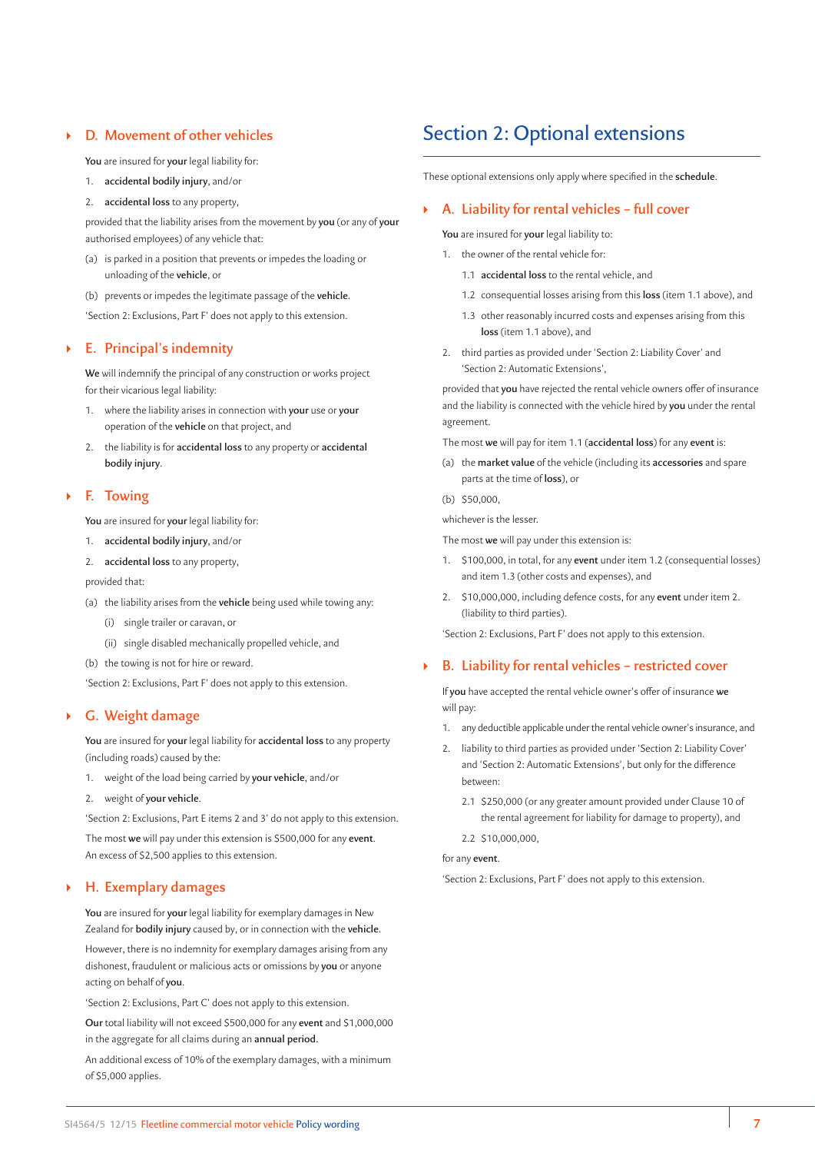## ` **D. Movement of other vehicles**

**You** are insured for **your** legal liability for:

- 1. **accidental bodily injury**, and/or
- 2. **accidental loss** to any property,

provided that the liability arises from the movement by **you** (or any of **your** authorised employees) of any vehicle that:

- (a) is parked in a position that prevents or impedes the loading or unloading of the **vehicle**, or
- (b) prevents or impedes the legitimate passage of the **vehicle**.

'Section 2: Exclusions, Part F' does not apply to this extension.

#### ` **E. Principal's indemnity**

**We** will indemnify the principal of any construction or works project for their vicarious legal liability:

- 1. where the liability arises in connection with **your** use or **your** operation of the **vehicle** on that project, and
- 2. the liability is for **accidental loss** to any property or **accidental bodily injury**.

#### ` **F. Towing**

**You** are insured for **your** legal liability for:

- 1. **accidental bodily injury**, and/or
- 2. **accidental loss** to any property, provided that:
- (a) the liability arises from the **vehicle** being used while towing any:
	- (i) single trailer or caravan, or
	- (ii) single disabled mechanically propelled vehicle, and
- (b) the towing is not for hire or reward.

'Section 2: Exclusions, Part F' does not apply to this extension.

## ` **G. Weight damage**

**You** are insured for **your** legal liability for **accidental loss** to any property (including roads) caused by the:

- 1. weight of the load being carried by **your vehicle**, and/or
- 2. weight of **your vehicle**.

'Section 2: Exclusions, Part E items 2 and 3' do not apply to this extension. The most **we** will pay under this extension is \$500,000 for any **event**. An excess of \$2,500 applies to this extension.

### ` **H. Exemplary damages**

**You** are insured for **your** legal liability for exemplary damages in New Zealand for **bodily injury** caused by, or in connection with the **vehicle**.

However, there is no indemnity for exemplary damages arising from any dishonest, fraudulent or malicious acts or omissions by **you** or anyone acting on behalf of **you**.

'Section 2: Exclusions, Part C' does not apply to this extension.

**Our** total liability will not exceed \$500,000 for any **event** and \$1,000,000 in the aggregate for all claims during an **annual period.**

An additional excess of 10% of the exemplary damages, with a minimum of \$5,000 applies.

## Section 2: Optional extensions

These optional extensions only apply where specified in the **schedule**.

## ` **A. Liability for rental vehicles – full cover**

**You** are insured for **your** legal liability to:

- 1. the owner of the rental vehicle for:
	- 1.1 **accidental loss** to the rental vehicle, and
	- 1.2 consequential losses arising from this **loss** (item 1.1 above), and
	- 1.3 other reasonably incurred costs and expenses arising from this **loss** (item 1.1 above), and
- 2. third parties as provided under 'Section 2: Liability Cover' and 'Section 2: Automatic Extensions',

provided that **you** have rejected the rental vehicle owners offer of insurance and the liability is connected with the vehicle hired by **you** under the rental agreement.

The most **we** will pay for item 1.1 (**accidental loss**) for any **event** is:

- (a) the **market value** of the vehicle (including its **accessories** and spare parts at the time of **loss**), or
- (b) \$50,000,

whichever is the lesser.

The most **we** will pay under this extension is:

- 1. \$100,000, in total, for any **event** under item 1.2 (consequential losses) and item 1.3 (other costs and expenses), and
- 2. \$10,000,000, including defence costs, for any **event** under item 2. (liability to third parties).

'Section 2: Exclusions, Part F' does not apply to this extension.

## ` **B. Liability for rental vehicles – restricted cover**

If **you** have accepted the rental vehicle owner's offer of insurance **we** will pay:

- 1. any deductible applicable under the rental vehicle owner's insurance, and
- 2. liability to third parties as provided under 'Section 2: Liability Cover' and 'Section 2: Automatic Extensions', but only for the difference between:
	- 2.1 \$250,000 (or any greater amount provided under Clause 10 of the rental agreement for liability for damage to property), and
	- 2.2 \$10,000,000,

#### for any **event**.

'Section 2: Exclusions, Part F' does not apply to this extension.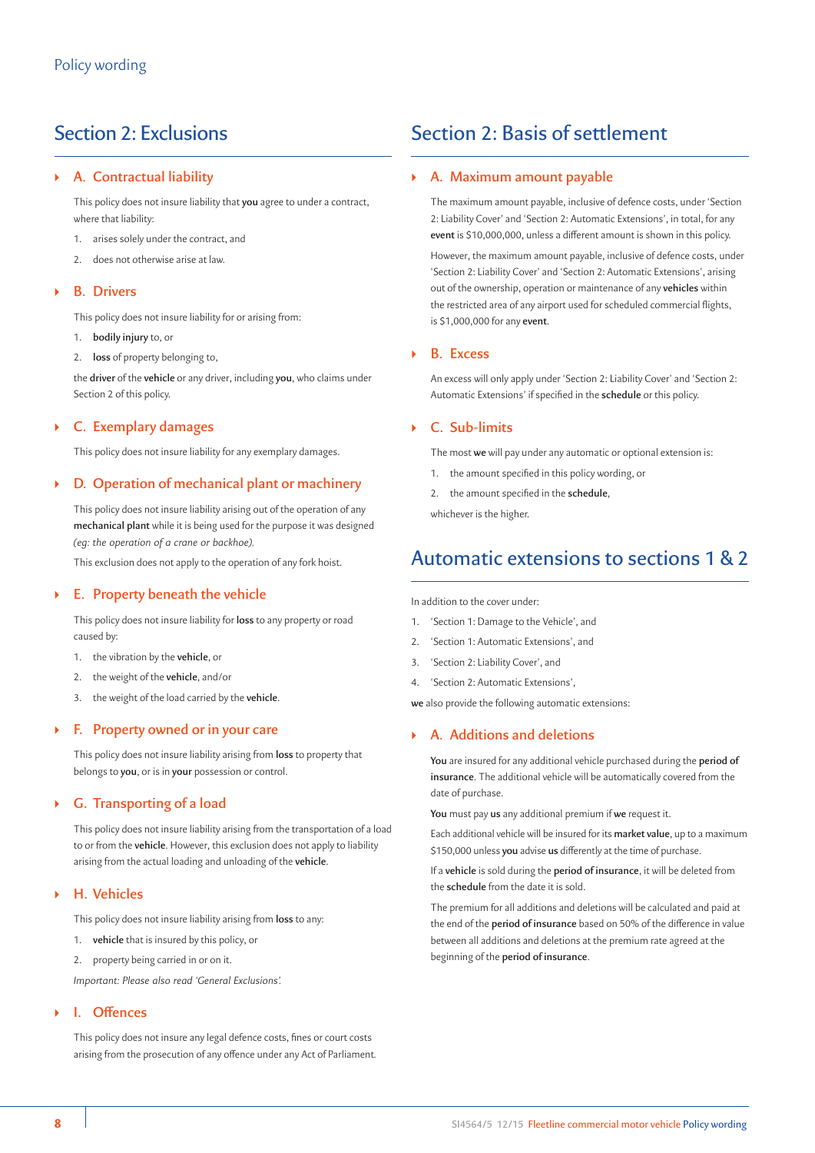## Section 2: Exclusions

## ` **A. Contractual liability**

This policy does not insure liability that **you** agree to under a contract, where that liability:

- 1. arises solely under the contract, and
- 2. does not otherwise arise at law.

## ` **B. Drivers**

This policy does not insure liability for or arising from:

1. **bodily injury** to, or

2. **loss** of property belonging to,

the **driver** of the **vehicle** or any driver, including **you**, who claims under Section 2 of this policy.

## ` **C. Exemplary damages**

This policy does not insure liability for any exemplary damages.

## ` **D. Operation of mechanical plant or machinery**

This policy does not insure liability arising out of the operation of any **mechanical plant** while it is being used for the purpose it was designed *(eg: the operation of a crane or backhoe).*

This exclusion does not apply to the operation of any fork hoist.

## ` **E. Property beneath the vehicle**

This policy does not insure liability for **loss** to any property or road caused by:

- 1. the vibration by the **vehicle**, or
- 2. the weight of the **vehicle**, and/or
- 3. the weight of the load carried by the **vehicle**.

## ` **F. Property owned or in your care**

This policy does not insure liability arising from **loss** to property that belongs to **you**, or is in **your** possession or control.

## ` **G. Transporting of a load**

This policy does not insure liability arising from the transportation of a load to or from the **vehicle**. However, this exclusion does not apply to liability arising from the actual loading and unloading of the **vehicle**.

## ` **H. Vehicles**

This policy does not insure liability arising from **loss** to any:

- 1. **vehicle** that is insured by this policy, or
- 2. property being carried in or on it.

*Important: Please also read 'General Exclusions'.*

## ` **I. Offences**

This policy does not insure any legal defence costs, fines or court costs arising from the prosecution of any offence under any Act of Parliament*.* 

## Section 2: Basis of settlement

## ` **A. Maximum amount payable**

The maximum amount payable, inclusive of defence costs, under 'Section 2: Liability Cover' and 'Section 2: Automatic Extensions', in total, for any **event** is \$10,000,000, unless a different amount is shown in this policy.

However, the maximum amount payable, inclusive of defence costs, under 'Section 2: Liability Cover' and 'Section 2: Automatic Extensions', arising out of the ownership, operation or maintenance of any **vehicles** within the restricted area of any airport used for scheduled commercial flights, is \$1,000,000 for any **event**.

## ` **B. Excess**

An excess will only apply under 'Section 2: Liability Cover' and 'Section 2: Automatic Extensions' if specified in the **schedule** or this policy.

## ` **C. Sub-limits**

The most **we** will pay under any automatic or optional extension is:

- 1. the amount specified in this policy wording, or
- 2. the amount specified in the **schedule**,

whichever is the higher.

## Automatic extensions to sections 1 & 2

In addition to the cover under:

- 1. 'Section 1: Damage to the Vehicle', and
- 2. 'Section 1: Automatic Extensions', and
- 3. 'Section 2: Liability Cover', and
- 4. 'Section 2: Automatic Extensions',

**we** also provide the following automatic extensions:

## ` **A. Additions and deletions**

**You** are insured for any additional vehicle purchased during the **period of insurance**. The additional vehicle will be automatically covered from the date of purchase.

**You** must pay **us** any additional premium if **we** request it.

Each additional vehicle will be insured for its **market value**, up to a maximum \$150,000 unless **you** advise **us** differently at the time of purchase.

If a **vehicle** is sold during the **period of insurance**, it will be deleted from the **schedule** from the date it is sold.

The premium for all additions and deletions will be calculated and paid at the end of the **period of insurance** based on 50% of the difference in value between all additions and deletions at the premium rate agreed at the beginning of the **period of insurance**.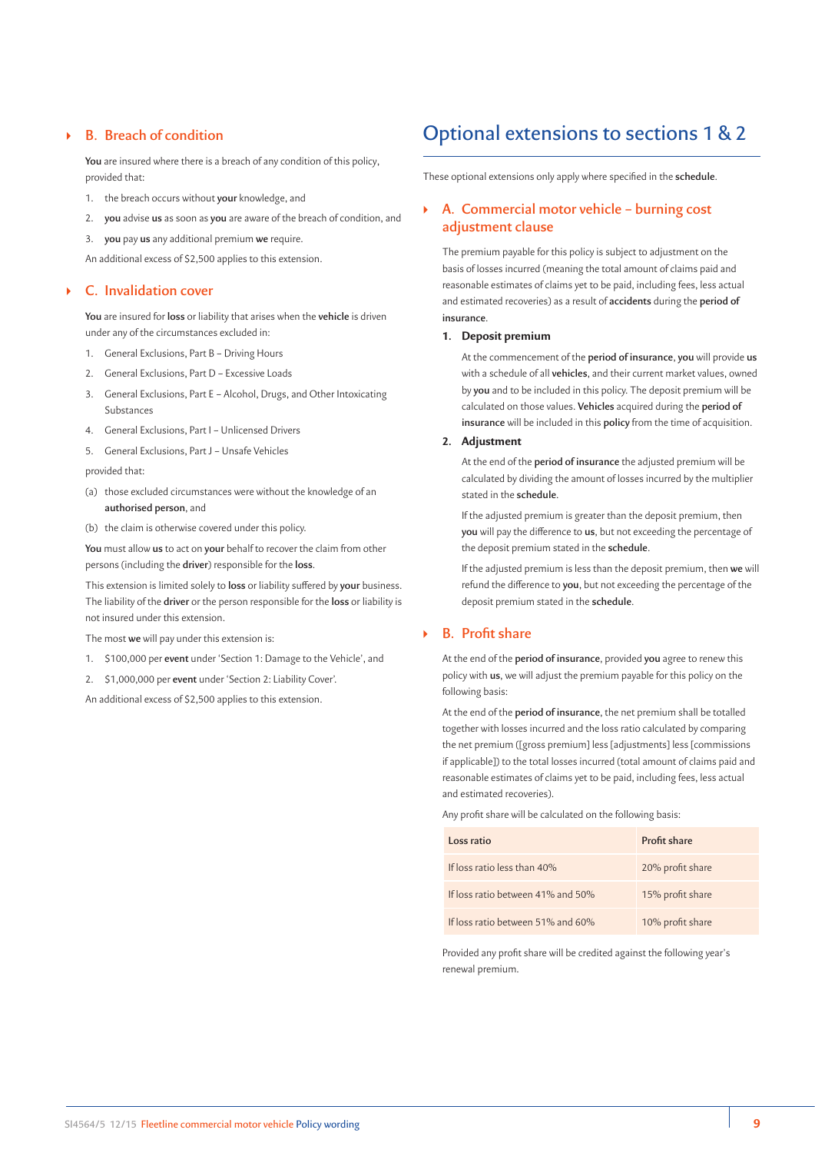## ` **B. Breach of condition**

**You** are insured where there is a breach of any condition of this policy, provided that:

- 1. the breach occurs without **your** knowledge, and
- 2. **you** advise **us** as soon as **you** are aware of the breach of condition, and
- 3. **you** pay **us** any additional premium **we** require.

An additional excess of \$2,500 applies to this extension.

## ` **C. Invalidation cover**

**You** are insured for **loss** or liability that arises when the **vehicle** is driven under any of the circumstances excluded in:

- 1. General Exclusions, Part B Driving Hours
- 2. General Exclusions, Part D Excessive Loads
- 3. General Exclusions, Part E Alcohol, Drugs, and Other Intoxicating Substances
- 4. General Exclusions, Part I Unlicensed Drivers
- 5. General Exclusions, Part J Unsafe Vehicles

provided that:

- (a) those excluded circumstances were without the knowledge of an **authorised person**, and
- (b) the claim is otherwise covered under this policy.

**You** must allow **us** to act on **your** behalf to recover the claim from other persons (including the **driver**) responsible for the **loss**.

This extension is limited solely to **loss** or liability suffered by **your** business. The liability of the **driver** or the person responsible for the **loss** or liability is not insured under this extension.

The most **we** will pay under this extension is:

- 1. \$100,000 per **event** under 'Section 1: Damage to the Vehicle', and
- 2. \$1,000,000 per **event** under 'Section 2: Liability Cover'.

An additional excess of \$2,500 applies to this extension.

## Optional extensions to sections 1 & 2

These optional extensions only apply where specified in the **schedule**.

## ` **A. Commercial motor vehicle – burning cost adjustment clause**

The premium payable for this policy is subject to adjustment on the basis of losses incurred (meaning the total amount of claims paid and reasonable estimates of claims yet to be paid, including fees, less actual and estimated recoveries) as a result of **accidents** during the **period of insurance**.

#### **1. Deposit premium**

At the commencement of the **period of insurance**, **you** will provide **us**  with a schedule of all **vehicles**, and their current market values, owned by **you** and to be included in this policy. The deposit premium will be calculated on those values. **Vehicles** acquired during the **period of insurance** will be included in this **policy** from the time of acquisition.

#### **2. Adjustment**

At the end of the **period of insurance** the adjusted premium will be calculated by dividing the amount of losses incurred by the multiplier stated in the **schedule**.

If the adjusted premium is greater than the deposit premium, then **you** will pay the difference to **us**, but not exceeding the percentage of the deposit premium stated in the **schedule**.

If the adjusted premium is less than the deposit premium, then **we** will refund the difference to **you**, but not exceeding the percentage of the deposit premium stated in the **schedule**.

#### ` **B. Profit share**

At the end of the **period of insurance**, provided **you** agree to renew this policy with **us**, we will adjust the premium payable for this policy on the following basis:

At the end of the **period of insurance**, the net premium shall be totalled together with losses incurred and the loss ratio calculated by comparing the net premium ([gross premium] less [adjustments] less [commissions if applicable]) to the total losses incurred (total amount of claims paid and reasonable estimates of claims yet to be paid, including fees, less actual and estimated recoveries).

Any profit share will be calculated on the following basis:

| Loss ratio                        | Profit share     |
|-----------------------------------|------------------|
| If $\log$ ratio less than $40\%$  | 20% profit share |
| If loss ratio between 41% and 50% | 15% profit share |
| If loss ratio between 51% and 60% | 10% profit share |

Provided any profit share will be credited against the following year's renewal premium.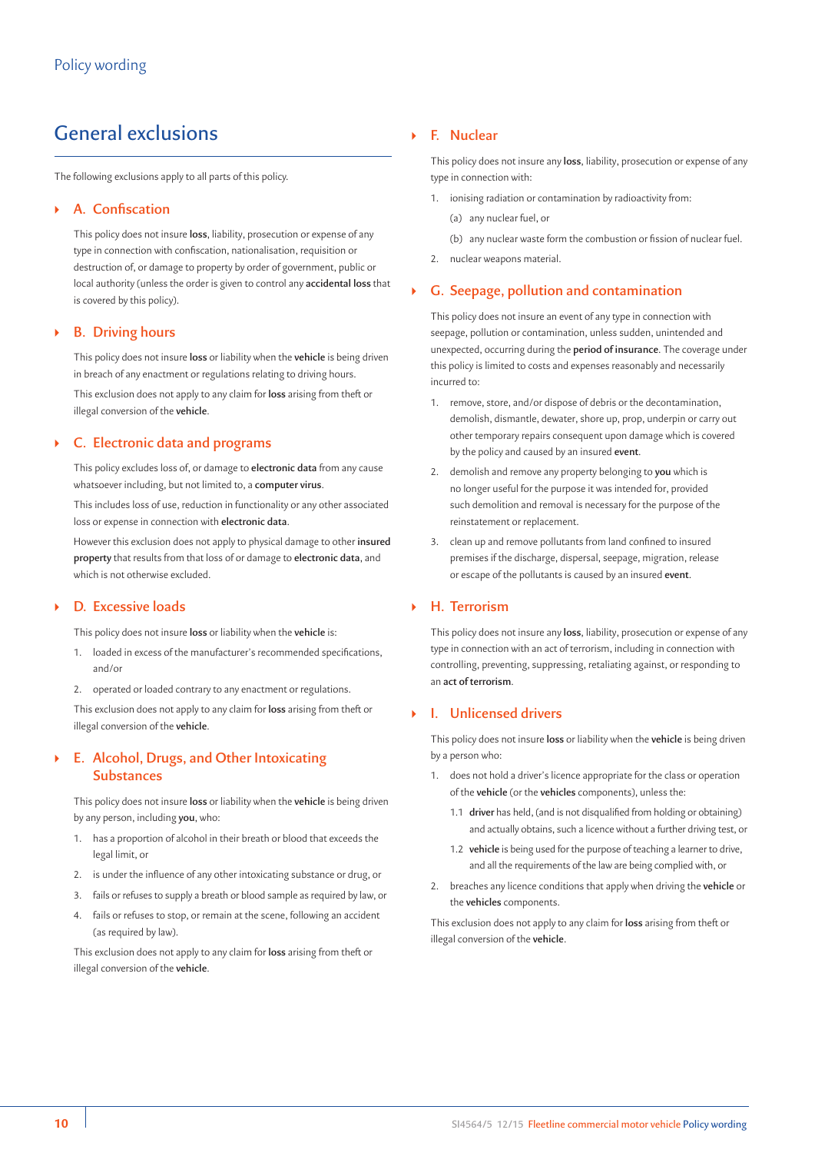## General exclusions

The following exclusions apply to all parts of this policy.

### ` **A. Confiscation**

This policy does not insure **loss**, liability, prosecution or expense of any type in connection with confiscation, nationalisation, requisition or destruction of, or damage to property by order of government, public or local authority (unless the order is given to control any **accidental loss** that is covered by this policy).

#### ` **B. Driving hours**

This policy does not insure **loss** or liability when the **vehicle** is being driven in breach of any enactment or regulations relating to driving hours.

This exclusion does not apply to any claim for **loss** arising from theft or illegal conversion of the **vehicle**.

## ` **C. Electronic data and programs**

This policy excludes loss of, or damage to **electronic data** from any cause whatsoever including, but not limited to, a **computer virus**.

This includes loss of use, reduction in functionality or any other associated loss or expense in connection with **electronic data**.

However this exclusion does not apply to physical damage to other **insured property** that results from that loss of or damage to **electronic data**, and which is not otherwise excluded.

#### ` **D. Excessive loads**

This policy does not insure **loss** or liability when the **vehicle** is:

- 1. loaded in excess of the manufacturer's recommended specifications, and/or
- 2. operated or loaded contrary to any enactment or regulations.

This exclusion does not apply to any claim for **loss** arising from theft or illegal conversion of the **vehicle**.

## ` **E. Alcohol, Drugs, and Other Intoxicating Substances**

This policy does not insure **loss** or liability when the **vehicle** is being driven by any person, including **you**, who:

- 1. has a proportion of alcohol in their breath or blood that exceeds the legal limit, or
- 2. is under the influence of any other intoxicating substance or drug, or
- 3. fails or refuses to supply a breath or blood sample as required by law, or
- 4. fails or refuses to stop, or remain at the scene, following an accident (as required by law).

This exclusion does not apply to any claim for **loss** arising from theft or illegal conversion of the **vehicle**.

## ` **F. Nuclear**

This policy does not insure any **loss**, liability, prosecution or expense of any type in connection with:

- 1. ionising radiation or contamination by radioactivity from:
	- (a) any nuclear fuel, or
	- (b) any nuclear waste form the combustion or fission of nuclear fuel.
- 2. nuclear weapons material.

## ` **G. Seepage, pollution and contamination**

This policy does not insure an event of any type in connection with seepage, pollution or contamination, unless sudden, unintended and unexpected, occurring during the **period of insurance**. The coverage under this policy is limited to costs and expenses reasonably and necessarily incurred to:

- 1. remove, store, and/or dispose of debris or the decontamination, demolish, dismantle, dewater, shore up, prop, underpin or carry out other temporary repairs consequent upon damage which is covered by the policy and caused by an insured **event**.
- 2. demolish and remove any property belonging to **you** which is no longer useful for the purpose it was intended for, provided such demolition and removal is necessary for the purpose of the reinstatement or replacement.
- 3. clean up and remove pollutants from land confined to insured premises if the discharge, dispersal, seepage, migration, release or escape of the pollutants is caused by an insured **event**.

## ` **H. Terrorism**

This policy does not insure any **loss**, liability, prosecution or expense of any type in connection with an act of terrorism, including in connection with controlling, preventing, suppressing, retaliating against, or responding to an **act of terrorism**.

## ` **I. Unlicensed drivers**

This policy does not insure **loss** or liability when the **vehicle** is being driven by a person who:

- 1. does not hold a driver's licence appropriate for the class or operation of the **vehicle** (or the **vehicles** components), unless the:
	- 1.1 **driver** has held, (and is not disqualified from holding or obtaining) and actually obtains, such a licence without a further driving test, or
	- 1.2 **vehicle** is being used for the purpose of teaching a learner to drive, and all the requirements of the law are being complied with, or
- 2. breaches any licence conditions that apply when driving the **vehicle** or the **vehicles** components.

This exclusion does not apply to any claim for **loss** arising from theft or illegal conversion of the **vehicle**.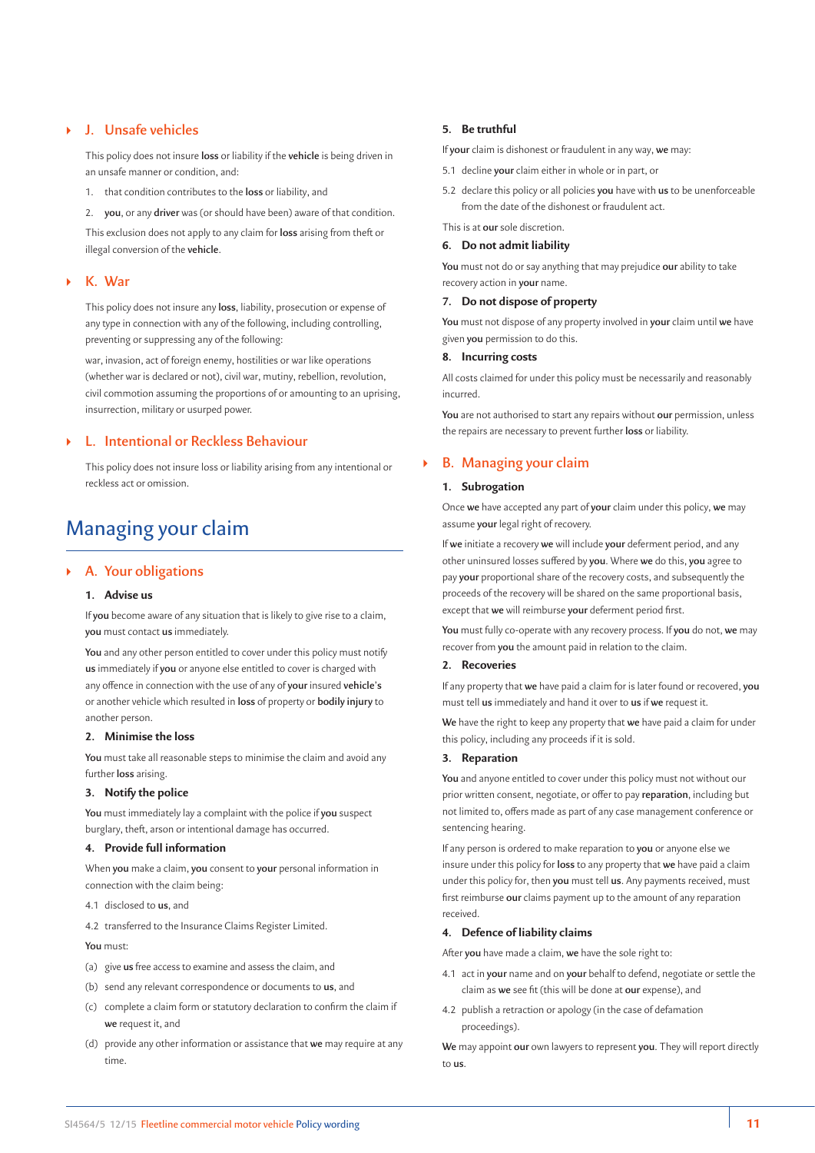## ` **J. Unsafe vehicles**

This policy does not insure **loss** or liability if the **vehicle** is being driven in an unsafe manner or condition, and:

1. that condition contributes to the **loss** or liability, and

2. **you**, or any **driver** was (or should have been) aware of that condition. This exclusion does not apply to any claim for **loss** arising from theft or illegal conversion of the **vehicle**.

### ` **K. War**

This policy does not insure any **loss**, liability, prosecution or expense of any type in connection with any of the following, including controlling, preventing or suppressing any of the following:

war, invasion, act of foreign enemy, hostilities or war like operations (whether war is declared or not), civil war, mutiny, rebellion, revolution, civil commotion assuming the proportions of or amounting to an uprising, insurrection, military or usurped power.

## ` **L. Intentional or Reckless Behaviour**

This policy does not insure loss or liability arising from any intentional or reckless act or omission.

## Managing your claim

#### ` **A. Your obligations**

#### **1. Advise us**

If **you** become aware of any situation that is likely to give rise to a claim, **you** must contact **us** immediately.

**You** and any other person entitled to cover under this policy must notify **us** immediately if **you** or anyone else entitled to cover is charged with any offence in connection with the use of any of **your** insured **vehicle's** or another vehicle which resulted in **loss** of property or **bodily injury** to another person.

#### **2. Minimise the loss**

**You** must take all reasonable steps to minimise the claim and avoid any further **loss** arising.

### **3. Notify the police**

**You** must immediately lay a complaint with the police if **you** suspect burglary, theft, arson or intentional damage has occurred.

#### **4. Provide full information**

When **you** make a claim, **you** consent to **your** personal information in connection with the claim being:

- 4.1 disclosed to **us**, and
- 4.2 transferred to the Insurance Claims Register Limited.

**You** must:

- (a) give **us** free access to examine and assess the claim, and
- (b) send any relevant correspondence or documents to **us**, and
- (c) complete a claim form or statutory declaration to confirm the claim if **we** request it, and
- (d) provide any other information or assistance that **we** may require at any time.

#### **5. Be truthful**

If **your** claim is dishonest or fraudulent in any way, **we** may:

- 5.1 decline **your** claim either in whole or in part, or
- 5.2 declare this policy or all policies **you** have with **us** to be unenforceable from the date of the dishonest or fraudulent act.

This is at **our** sole discretion.

#### **6. Do not admit liability**

**You** must not do or say anything that may prejudice **our** ability to take recovery action in **your** name.

#### **7. Do not dispose of property**

**You** must not dispose of any property involved in **your** claim until **we** have given **you** permission to do this.

#### **8. Incurring costs**

All costs claimed for under this policy must be necessarily and reasonably incurred.

**You** are not authorised to start any repairs without **our** permission, unless the repairs are necessary to prevent further **loss** or liability.

#### ` **B. Managing your claim**

## **1. Subrogation**

Once **we** have accepted any part of **your** claim under this policy, **we** may assume **your** legal right of recovery.

If **we** initiate a recovery **we** will include **your** deferment period, and any other uninsured losses suffered by **you**. Where **we** do this, **you** agree to pay **your** proportional share of the recovery costs, and subsequently the proceeds of the recovery will be shared on the same proportional basis, except that **we** will reimburse **your** deferment period first.

**You** must fully co-operate with any recovery process. If **you** do not, **we** may recover from **you** the amount paid in relation to the claim.

#### **2. Recoveries**

If any property that **we** have paid a claim for is later found or recovered, **you**  must tell **us** immediately and hand it over to **us** if **we** request it.

**We** have the right to keep any property that **we** have paid a claim for under this policy, including any proceeds if it is sold.

#### **3. Reparation**

**You** and anyone entitled to cover under this policy must not without our prior written consent, negotiate, or offer to pay **reparation**, including but not limited to, offers made as part of any case management conference or sentencing hearing.

If any person is ordered to make reparation to **you** or anyone else we insure under this policy for **loss** to any property that **we** have paid a claim under this policy for, then **you** must tell **us**. Any payments received, must first reimburse **our** claims payment up to the amount of any reparation received.

#### **4. Defence of liability claims**

After **you** have made a claim, **we** have the sole right to:

- 4.1 act in **your** name and on **your** behalf to defend, negotiate or settle the claim as **we** see fit (this will be done at **our** expense), and
- 4.2 publish a retraction or apology (in the case of defamation proceedings).

**We** may appoint **our** own lawyers to represent **you**. They will report directly to **us**.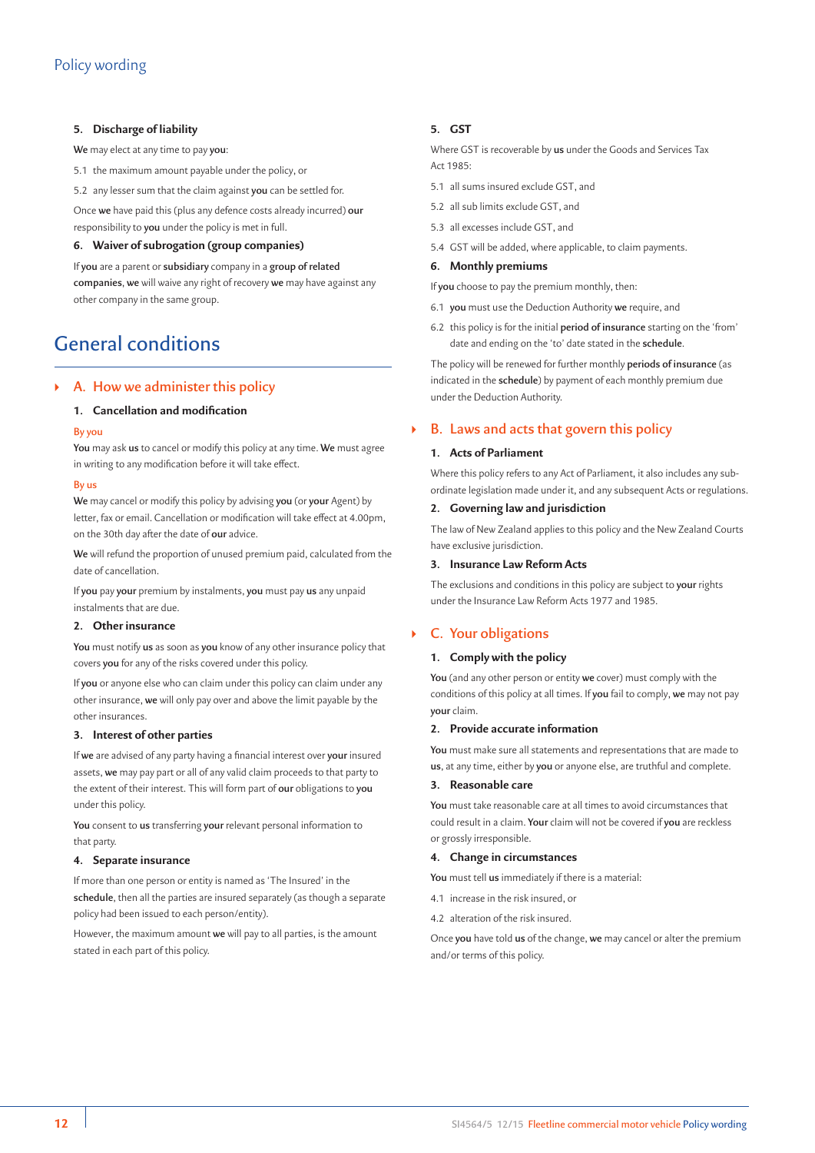#### **5. Discharge of liability**

**We** may elect at any time to pay **you**:

- 5.1 the maximum amount payable under the policy, or
- 5.2 any lesser sum that the claim against **you** can be settled for.

Once **we** have paid this (plus any defence costs already incurred) **our**  responsibility to **you** under the policy is met in full.

### **6. Waiver of subrogation (group companies)**

If **you** are a parent or **subsidiary** company in a **group of related companies**, **we** will waive any right of recovery **we** may have against any other company in the same group.

## General conditions

## ` **A. How we administer this policy**

#### **1. Cancellation and modification**

#### **By you**

**You** may ask **us** to cancel or modify this policy at any time. **We** must agree in writing to any modification before it will take effect.

#### **By us**

**We** may cancel or modify this policy by advising **you** (or **your** Agent) by letter, fax or email. Cancellation or modification will take effect at 4.00pm, on the 30th day after the date of **our** advice.

**We** will refund the proportion of unused premium paid, calculated from the date of cancellation.

If **you** pay **your** premium by instalments, **you** must pay **us** any unpaid instalments that are due.

## **2. Other insurance**

**You** must notify **us** as soon as **you** know of any other insurance policy that covers **you** for any of the risks covered under this policy.

If **you** or anyone else who can claim under this policy can claim under any other insurance, **we** will only pay over and above the limit payable by the other insurances.

#### **3. Interest of other parties**

If **we** are advised of any party having a financial interest over **your** insured assets, **we** may pay part or all of any valid claim proceeds to that party to the extent of their interest. This will form part of **our** obligations to **you** under this policy.

**You** consent to **us** transferring **your** relevant personal information to that party.

### **4. Separate insurance**

If more than one person or entity is named as 'The Insured' in the **schedule**, then all the parties are insured separately (as though a separate policy had been issued to each person/entity).

However, the maximum amount **we** will pay to all parties, is the amount stated in each part of this policy.

### **5. GST**

Where GST is recoverable by **us** under the Goods and Services Tax  $Act 1985$ 

- 5.1 all sums insured exclude GST, and
- 5.2 all sub limits exclude GST, and
- 5.3 all excesses include GST, and
- 5.4 GST will be added, where applicable, to claim payments.

#### **6. Monthly premiums**

If **you** choose to pay the premium monthly, then:

- 6.1 **you** must use the Deduction Authority **we** require, and
- 6.2 this policy is for the initial **period of insurance** starting on the 'from' date and ending on the 'to' date stated in the **schedule**.

The policy will be renewed for further monthly **periods of insurance** (as indicated in the **schedule**) by payment of each monthly premium due under the Deduction Authority.

## ` **B. Laws and acts that govern this policy**

#### **1. Acts of Parliament**

Where this policy refers to any Act of Parliament, it also includes any subordinate legislation made under it, and any subsequent Acts or regulations.

#### **2. Governing law and jurisdiction**

The law of New Zealand applies to this policy and the New Zealand Courts have exclusive jurisdiction.

#### **3. Insurance Law Reform Acts**

The exclusions and conditions in this policy are subject to **your** rights under the Insurance Law Reform Acts 1977 and 1985.

## ` **C. Your obligations**

#### **1. Comply with the policy**

**You** (and any other person or entity **we** cover) must comply with the conditions of this policy at all times. If **you** fail to comply, **we** may not pay **your** claim.

#### **2. Provide accurate information**

**You** must make sure all statements and representations that are made to **us**, at any time, either by **you** or anyone else, are truthful and complete.

#### **3. Reasonable care**

**You** must take reasonable care at all times to avoid circumstances that could result in a claim. **Your** claim will not be covered if **you** are reckless or grossly irresponsible.

#### **4. Change in circumstances**

**You** must tell **us** immediately if there is a material:

- 4.1 increase in the risk insured, or
- 4.2 alteration of the risk insured.

Once **you** have told **us** of the change, **we** may cancel or alter the premium and/or terms of this policy.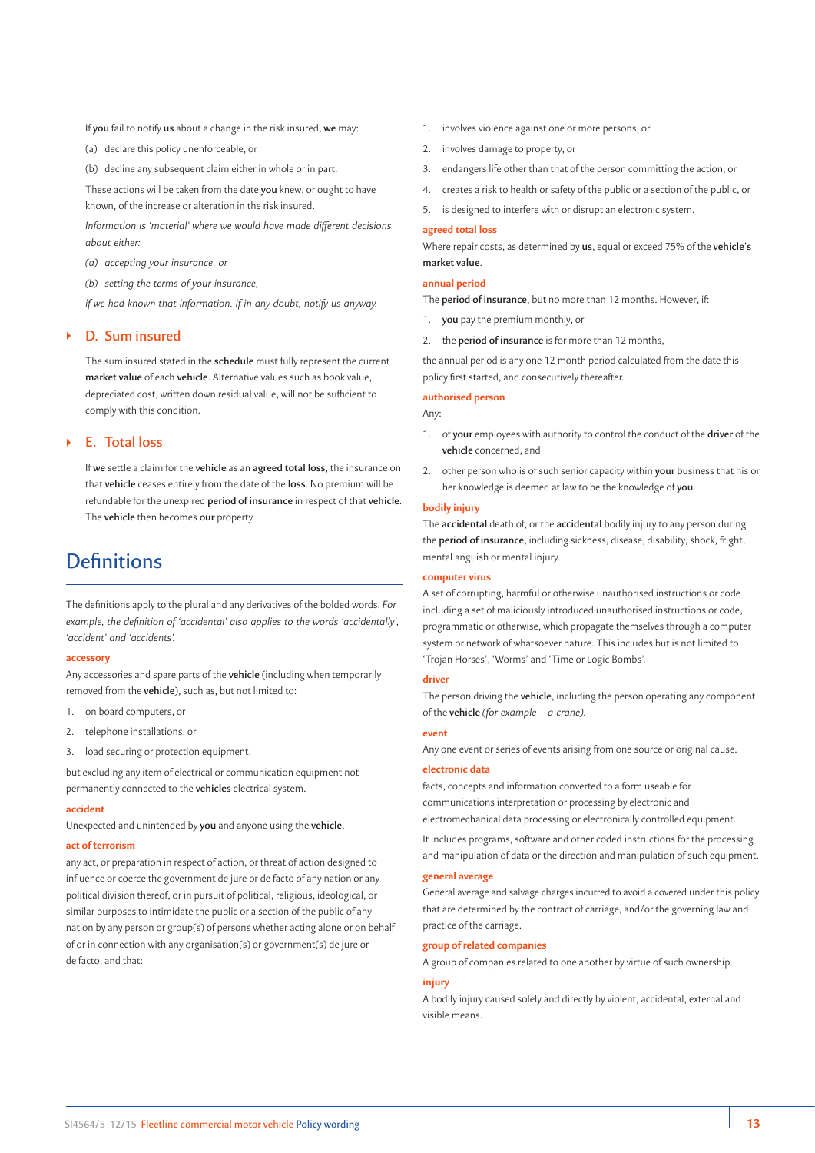If **you** fail to notify **us** about a change in the risk insured, **we** may:

- (a) declare this policy unenforceable, or
- (b) decline any subsequent claim either in whole or in part.

These actions will be taken from the date **you** knew, or ought to have known, of the increase or alteration in the risk insured.

*Information is 'material' where we would have made different decisions about either:*

*(a) accepting your insurance, or*

*(b) setting the terms of your insurance,*

*if we had known that information. If in any doubt, notify us anyway.*

### ` **D. Sum insured**

The sum insured stated in the **schedule** must fully represent the current **market value** of each **vehicle**. Alternative values such as book value, depreciated cost, written down residual value, will not be sufficient to comply with this condition.

## ` **E. Total loss**

If **we** settle a claim for the **vehicle** as an **agreed total loss**, the insurance on that **vehicle** ceases entirely from the date of the **loss**. No premium will be refundable for the unexpired **period of insurance** in respect of that **vehicle**. The **vehicle** then becomes **our** property.

## **Definitions**

The definitions apply to the plural and any derivatives of the bolded words. *For example, the definition of 'accidental' also applies to the words 'accidentally', 'accident' and 'accidents'.*

#### **accessory**

Any accessories and spare parts of the **vehicle** (including when temporarily removed from the **vehicle**), such as, but not limited to:

- 1. on board computers, or
- 2. telephone installations, or
- 3. load securing or protection equipment,

but excluding any item of electrical or communication equipment not permanently connected to the **vehicles** electrical system.

#### **accident**

Unexpected and unintended by **you** and anyone using the **vehicle**.

#### **act of terrorism**

any act, or preparation in respect of action, or threat of action designed to influence or coerce the government de jure or de facto of any nation or any political division thereof, or in pursuit of political, religious, ideological, or similar purposes to intimidate the public or a section of the public of any nation by any person or group(s) of persons whether acting alone or on behalf of or in connection with any organisation(s) or government(s) de jure or de facto, and that:

- 1. involves violence against one or more persons, or
- 2. involves damage to property, or
- 3. endangers life other than that of the person committing the action, or
- 4. creates a risk to health or safety of the public or a section of the public, or
- 5. is designed to interfere with or disrupt an electronic system.

#### **agreed total loss**

Where repair costs, as determined by **us**, equal or exceed 75% of the **vehicle's market value**.

#### **annual period**

The **period of insurance**, but no more than 12 months. However, if:

- 1. **you** pay the premium monthly, or
- 2. the **period of insurance** is for more than 12 months,

the annual period is any one 12 month period calculated from the date this policy first started, and consecutively thereafter.

#### **authorised person**

#### Any:

- 1. of **your** employees with authority to control the conduct of the **driver** of the **vehicle** concerned, and
- 2. other person who is of such senior capacity within **your** business that his or her knowledge is deemed at law to be the knowledge of **you**.

#### **bodily injury**

The **accidental** death of, or the **accidental** bodily injury to any person during the **period of insurance**, including sickness, disease, disability, shock, fright, mental anguish or mental injury.

#### **computer virus**

A set of corrupting, harmful or otherwise unauthorised instructions or code including a set of maliciously introduced unauthorised instructions or code, programmatic or otherwise, which propagate themselves through a computer system or network of whatsoever nature. This includes but is not limited to 'Trojan Horses', 'Worms' and 'Time or Logic Bombs'.

#### **driver**

The person driving the **vehicle**, including the person operating any component of the **vehicle** *(for example – a crane).*

#### **event**

Any one event or series of events arising from one source or original cause.

#### **electronic data**

facts, concepts and information converted to a form useable for communications interpretation or processing by electronic and electromechanical data processing or electronically controlled equipment.

It includes programs, software and other coded instructions for the processing and manipulation of data or the direction and manipulation of such equipment.

#### **general average**

General average and salvage charges incurred to avoid a covered under this policy that are determined by the contract of carriage, and/or the governing law and practice of the carriage.

#### **group of related companies**

A group of companies related to one another by virtue of such ownership.

#### **injury**

A bodily injury caused solely and directly by violent, accidental, external and visible means.